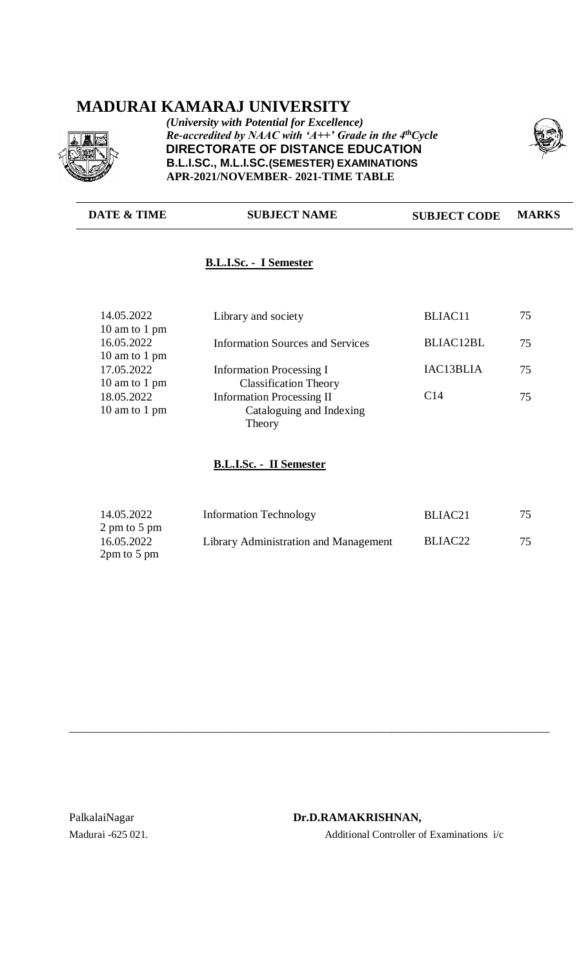# **MADURAI KAMARAJ UNIVERSITY**



*(University with Potential for Excellence) Re-accredited by NAAC with 'A++' Grade in the 4thCycle* **DIRECTORATE OF DISTANCE EDUCATION B.L.I.SC., M.L.I.SC.(SEMESTER) EXAMINATIONS APR-2021/NOVEMBER**- **2021-TIME TABLE**



# **DATE & TIME SUBJECT NAME SUBJECT CODE MARKS**

# **B.L.I.Sc. - I Semester**

| Library and society                     | BLIAC11          | 75 |
|-----------------------------------------|------------------|----|
| <b>Information Sources and Services</b> | <b>BLIAC12BL</b> | 75 |
|                                         |                  |    |
| <b>Information Processing I</b>         | IAC13BLIA        | 75 |
| <b>Classification Theory</b>            |                  |    |
| <b>Information Processing II</b>        | C <sub>14</sub>  | 75 |
| Cataloguing and Indexing                |                  |    |
| Theory                                  |                  |    |
|                                         |                  |    |

#### **B.L.I.Sc. - II Semester**

| 14.05.2022    | <b>Information Technology</b>         | BLIAC <sub>21</sub> | 75 |
|---------------|---------------------------------------|---------------------|----|
| 2 pm to 5 pm  |                                       |                     |    |
| 16.05.2022    | Library Administration and Management | BLIAC <sub>22</sub> | 75 |
| $2pm$ to 5 pm |                                       |                     |    |

\_\_\_\_\_\_\_\_\_\_\_\_\_\_\_\_\_\_\_\_\_\_\_\_\_\_\_\_\_\_\_\_\_\_\_\_\_\_\_\_\_\_\_\_\_\_\_\_\_\_\_\_\_\_\_\_\_\_\_\_\_\_\_\_\_\_\_\_\_\_\_\_\_\_\_\_\_\_\_\_\_\_\_\_\_\_\_\_\_\_\_

#### PalkalaiNagar **Dr.D.RAMAKRISHNAN,**

Madurai -625 021. Additional Controller of Examinations i/c